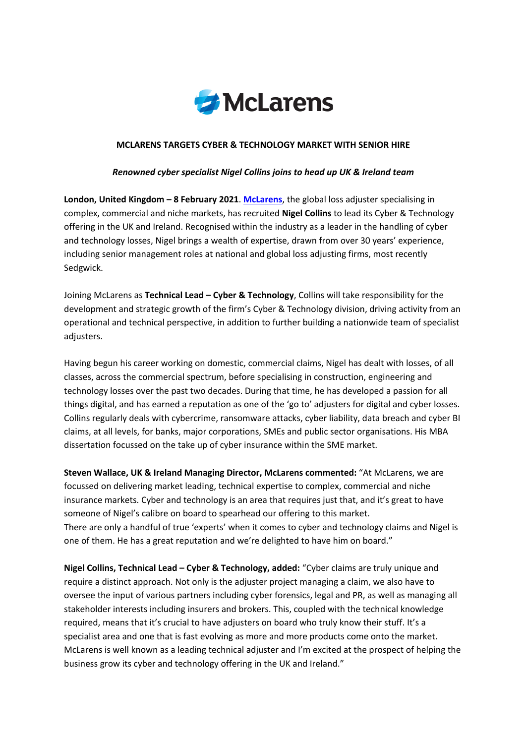

## **MCLARENS TARGETS CYBER & TECHNOLOGY MARKET WITH SENIOR HIRE**

## *Renowned cyber specialist Nigel Collins joins to head up UK & Ireland team*

**London, United Kingdom – 8 February 2021**. **McLarens**, the global loss adjuster specialising in complex, commercial and niche markets, has recruited **Nigel Collins** to lead its Cyber & Technology offering in the UK and Ireland. Recognised within the industry as a leader in the handling of cyber and technology losses, Nigel brings a wealth of expertise, drawn from over 30 years' experience, including senior management roles at national and global loss adjusting firms, most recently Sedgwick.

Joining McLarens as **Technical Lead – Cyber & Technology**, Collins will take responsibility for the development and strategic growth of the firm's Cyber & Technology division, driving activity from an operational and technical perspective, in addition to further building a nationwide team of specialist adjusters.

Having begun his career working on domestic, commercial claims, Nigel has dealt with losses, of all classes, across the commercial spectrum, before specialising in construction, engineering and technology losses over the past two decades. During that time, he has developed a passion for all things digital, and has earned a reputation as one of the 'go to' adjusters for digital and cyber losses. Collins regularly deals with cybercrime, ransomware attacks, cyber liability, data breach and cyber BI claims, at all levels, for banks, major corporations, SMEs and public sector organisations. His MBA dissertation focussed on the take up of cyber insurance within the SME market.

**Steven Wallace, UK & Ireland Managing Director, McLarens commented:** "At McLarens, we are focussed on delivering market leading, technical expertise to complex, commercial and niche insurance markets. Cyber and technology is an area that requires just that, and it's great to have someone of Nigel's calibre on board to spearhead our offering to this market. There are only a handful of true 'experts' when it comes to cyber and technology claims and Nigel is one of them. He has a great reputation and we're delighted to have him on board."

**Nigel Collins, Technical Lead – Cyber & Technology, added:** "Cyber claims are truly unique and require a distinct approach. Not only is the adjuster project managing a claim, we also have to oversee the input of various partners including cyber forensics, legal and PR, as well as managing all stakeholder interests including insurers and brokers. This, coupled with the technical knowledge required, means that it's crucial to have adjusters on board who truly know their stuff. It's a specialist area and one that is fast evolving as more and more products come onto the market. McLarens is well known as a leading technical adjuster and I'm excited at the prospect of helping the business grow its cyber and technology offering in the UK and Ireland."